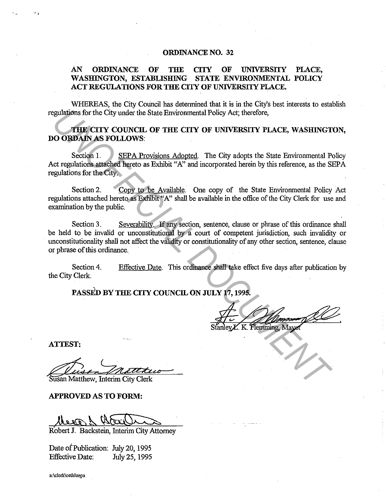#### **ORDINANCE NO. 32**

### **AN ORDINANCE OF THE CITY OF UNIVERSITY PLACE, WASHINGTON, ESTABLISHING STATE ENVIRONMENTAL POLICY ACT REGULATIONS FOR THE CITY OF UNIVERSITY PLACE.**

WHEREAS, the City Council has determined that it is in the City's best interests to establish regulations for the City under the State Environmental Policy Act; therefore,

**THE CITY COUNCIL OF THE CITY OF UNIVERSITY PLACE, WASHINGTON, DO ORDAIN AS FOLLOWS:** 

Section 1. SEPA Provisions Adopted. The City adopts the State Environmental Policy Act regulations attached hereto as Exhibit "A" and incorporated herein by this reference, as the SEPA regulations for the City.

Section 2. Copy to be Available. One copy of the State Environmental Policy Act regulations attached hereto as Exhibit *"A:'* shall be available in the office of the City Clerk for use and examination by the public.

Section 3. Severability. If any section, sentence, clause or phrase of this ordinance shall be held to be invalid or unconstitutional by a court of competent jurisdiction, such invalidity or unconstitutionality shall not affect the validity or constitutionality of any other section, sentence, clause or phrase of this ordinance. **EXERCITY COUNCIL OF THE CITY OF UNIVERSITY PLACE, WASHINGT<br>
<b>UNIFERENT COUNCIL OF THE CITY OF UNIVERSITY PLACE, WASHINGT**<br> **USE DECITY COUNCIL OF THE CITY OF UNIVERSITY PLACE, WASHINGT**<br> **USE DECITY COUNCIL OF THE CITY AC** 

Section 4. the City Clerk. Effective Date. This ordinance shall take effect five days after publication by

**PASSED BY THE CITY COUNCIL ON JULY 17, 1995.** 

**ATTEST:** 

''

West Matthew Susan Matthew, Interim City Clerk

**APPROVED AS TO FORM:** 

R'obert J. Backstein, Interim City Attorney

Date of Publication: July 20, 1995 Effective Date: July 25, 1995

**a:\clerk\ords\sepa**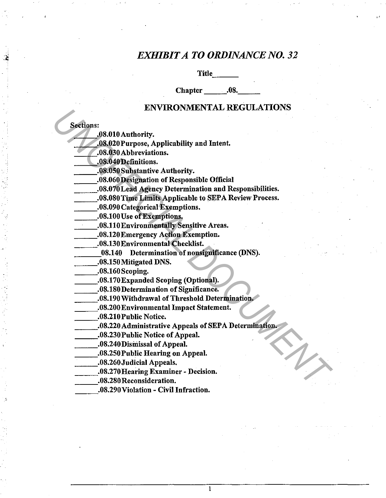## *EXHIBIT A TO ORDINANCE NO. 32*

•'

Title

Chapter .08.

### ENVIRONMENTAL REGULATIONS

Sections:

\_\_\_ .. 08.0lOAuthority.

- \_\_\_ .08.020Purpose, Applicability and Intent •
- .08.030 Abbreviations.
- \_\_\_ .. 08.040 Definitions.
- \_\_\_ .. 08.0SOSubstantive Authority.
- \_\_\_ .. 08.060 Designation of Responsible Official
- \_\_\_ .. 08.070Lead Agency Determination and Responsibilities.
- \_\_\_ .08.080 Time Limits Applicable to SEP A Review Process.
- \_\_\_ .08.090 Categorical Exemptions.
- \_\_\_ .08.lOOUse of Exemptions.
- \_\_\_ .08.llOEnvironmentally Sensitive Areas.
- \_\_\_ .08.120Emergency Action Exemption .
- .08.130 Environmental Checklist.
- \_\_\_ 08.140 Determination ofnonsignificance (DNS). \_\_ .08.lSOMitigated DNS.
	- \_.08.150Mitigated DNS.<br>\_.08.160Scoping.

\_\_\_ .08.170Expanded Scoping (Optional).

- .08.180 Determination of Significance.
- .08.190 Withdrawal of Threshold Determination.
- \_\_\_ .08.200 Environmental Impact Statement .
- .08.210 Public Notice.
- \_\_\_ .08.220 Administrative Appeals of SEP A Determination. EXPERIENCE AND MONTRIEV AND REGIONS (08.000 Abbrevistions.<br> **UNOFFICIAL DESCRIP (08.000 Abbrevistions.**<br> **UNOFFICIAL DESCRIPADING AND ACTED (08.000 Abbrevistions.**<br> **UNOFFICIAL DESCRIPADING A SECRIPADING A SECRIPADING (0.0**

I

- \_\_\_ .08.230Public Notice of Appeal.
- \_\_\_ .08.240Dismissal of Appeal.
- \_\_\_ .08.250Public Hearing on Appeal.
- \_\_\_ .08.260Judicial Appeals.
- \_\_\_ .. 08.270Hearing Examiner Decision .

.08.290 Violation - Civil Infraction.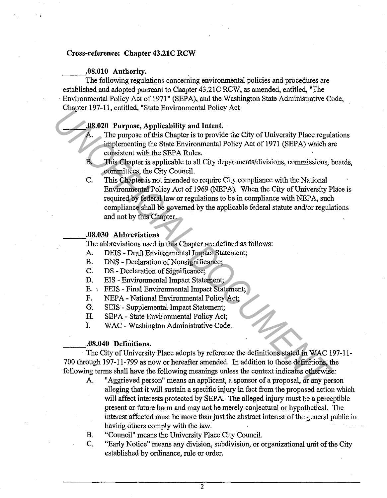#### Cross-reference: Chapter 43.21C RCW

#### \_\_ .08.010 Authority.

The following regulations concerning environmental policies and procedures are established and adopted pursuant to Chapter 43.21C RCW, as amended, entitled, "The Environmental Policy Act of 1971" (SEPA), and the Washington State Administrative Code, Chapter 197-11, entitled, "State Environmental Policy Act ·

#### \_\_\_ .08.020 Purpose, Applicability and Intent.

- The purpose of this Chapter is to provide the City of University Place regulations implementing the State Environmental Policy Act of 1971 (SEPA) which are consistent with the SEPA Rules.
- B. This Chapter is applicable to all City departments/divisions, commissions, boards, committees, the City Council.
- C. This Chapter is not intended to require City compliance with the National Environmental Policy Act of 1969 (NEPA). When the City of University Place is required by federal Jaw or regulations to be in compliance with NEPA, such compliance shall be governed by the applicable federal statute and/or regulations and not by this Chapter. **1997-11, entrues, state Entrironmental rotary Acts**<br> **1998-02 Purposes of this Chapter is to provide the City of University Place regularity and Different and the SIPA Rules.<br>
<b>1998-1998 Purpose of this Chapter is to**

.08.030 Abbreviations<br>The abbreviations used in this Chapter are defined as follows:

- A. DEIS Draft Environmental Impact Statement;
- B. DNS Declaration of Nonsignificance;
- C. DS Declaration of Significance;
- D. EIS Environmental Impact Statement;
- E. ·. FEIS Final Environmental Impact Statement;
- F. NEPA- National Environmental Policy Act;
- G. SEIS- Supplemental Impact Statement;
- H. SEPA State Environmental Policy Act;
- I. WAC Washington Administrative Code .

• 08.040 Definitions. ---. The City of University Place adopts by reference the definitions stated in WAC 197-11- 700 through 197-11-799 as now or hereafter amended. In addition to those definitions, the following terms shall have the following meanings unless the context indicates otherwise:

- A. "Aggrieved person" means an applicant, a sponsor of a proposal, or any person alleging that it wilJ sustain a specific injury in fact from the proposed action which will affect interests protected by SEPA. The alleged injury must be a perceptible present or future harm and may not be merely conjectural or hypothetical. The interest affected must be more than just the abstract interest of the general public in having others comply with the law.
- B. "Council" means the University Place City Council.
- C. "Early Notice" means any division, subdivision, or organizational unit of the City established by ordinance, rule or order.

 $\overline{2}$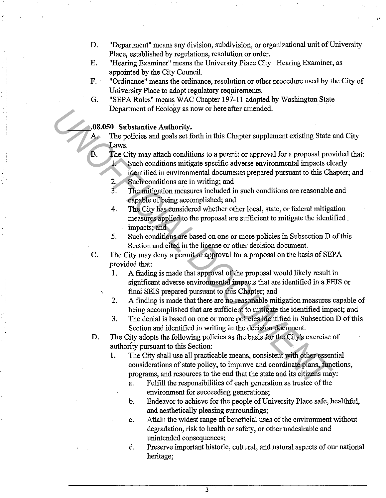D. "Department" means any division, subdivision, or organizational unit of University Place, established by regulations, resolution or order.

.J

- E. "Hearing Examiner" means the University Place City Hearing Examiner, as appointed by the City Council.
- F. "Ordinance" means the ordinance, resolution or other procedure used by the City of University Place to adopt regulatory requirements.
- G. "SEPA Rules" means WAC Chapter 197-11 adopted by Washington State Department of Ecology as now or here after amended.

#### **\_\_\_ .08.050 Substantive Authority.**

A. The policies and goals set forth in this Chapter supplement existing State and City Laws.

- B. The City may attach conditions to a permit or approval for a proposal provided that: 1. Such conditions mitigate specific adverse environmental impacts clearly
	- identified in environmental documents prepared pursuant to this Chapter; and
	- 2. Such conditions are in writing; and
	- 3. The mitigation measures included in such conditions are reasonable and capable of being accomplished; and
	- 4. The City has considered whether other local, state, or federal mitigation measures applied to the proposal are sufficient to mitigate the identified . impacts; and
	- 5. Such conditions are based on one or more policies in Subsection D of this Section and cited in the license or other decision document.
- C. The City may deny a permit or approval for a proposal on the basis of SEPA provided that:
	- 1. A finding is made that approval of the proposal would likely result in significant adverse environmental impacts that are identified in a FEIS or final SEIS prepared pursuant to this Chapter; and
	- 2. A finding is made that there are no reasonable mitigation measures capable of being accomplished that are sufficient to mitigate the identified impact; and
	- 3. The denial is based on one or more policies identified in Subsection D of this Section and identified in writing in the decision document.

D. The City adopts the following policies as the basis for the City's exercise of authority pursuant to this Section:

- 1. The City shall use all practicable means, consistent with other essential considerations of state policy, to improve and coordinate plans, functions, programs, and resources to the end that the state and its citizens may: **For the solution of the solution of the solution of the solution of the solution of the solution of the SC and Figure 2018. The City may attack of the SC and Minited in environmental documents prepared pursuant to this Ch** 
	- a. Fulfill the responsibilities of each generation as trustee of the environment for succeeding generations;
	- b. Endeavor to achieve for the people of University Place safe, healthful, and aesthetically pleasing surroundings;
	- c. Attain the widest range of beneficial uses of the environment without degradation, risk to health or safety, or other undesirable and unintended consequences;
	- d. Preserve important historic, cultural, and natural aspects of our national heritage;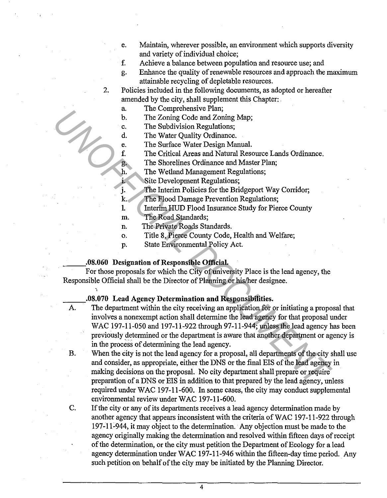- e. Maintain, wherever possible, an environment which supports diversity and variety of individual choice;
- f. Achieve a balance between population and resource use; and
- g. Enhance the quality of renewable resources and approach the maximum attainable recycling of depletable resources.
- 2. Policies included in the following documents, as adopted or hereafter amended by the city, shall supplement this Chapter:.
	- a. The Comprehensive Plan;
	- b. The Zoning Code and Zoning Map;
	- c. The Subdivision Regulations;
	- d. The Water Quality Ordinance.
	- e. The Surface Water Design Manual.
	- f. The Critical Areas and Natural Resource Lands Ordinance.
	- g. The Shorelines Ordinance and Master Plan;
	- h. The Wetland Management Regulations;
	- 1. Site Development Regulations;
	- j. The Interim Policies for the Bridgeport Way Corridor;
	- k. The Flood Damage Prevention Regulations;
	- !. Interim HUD Flood Insurance Study for Pierce County
	- m. The Road Standards;
	- n. The Private Roads Standards.
	- o. Title 8, Pierce County Code, Health and Welfare;
	- p. State Environmental Policy Act.

#### \_\_\_ .08.060 Designation of Responsible Official.

'•

For those proposals for which the City of university Place is the lead agency, the Responsible Official shall be the Director of Planning or his/her designee.

## \_\_\_ .08.070 Lead Agency Determination and Responsibilities.

- The department within the city receiving an application for or initiating a proposal that involves a nonexempt action shall determine the lead agency for that proposal under WAC 197-11-050 and 197-11-922 through 97-11-944; unless the lead agency has been previously determined or the department is aware that another department or agency is in the process of determining the lead agency. **1.** In Evolution Regulations; Train, The Coning Code and Zoning Map;<br> **1.** The Studivistion Regulations;<br> **1.** The Water Quality Ordinance.<br> **1.** The Water Quality Ordinance.<br> **1.** The Water Quality Ordinance I.ands Ordin
	- B. When the city is not the lead agency for a proposal, all departments of the city shall use and consider, as appropriate, either the DNS or the final EIS of the lead agency in making decisions on the proposal. No city department shall prepare or require preparation of a DNS or EIS in addition to that prepared by the lead agency, unless required under WAC 197-11-600. In some cases, the city may conduct supplemental environmental review under WAC 197-11-600.
	- C. If the city or any of its departments receives a lead agency determination made by another agency that appears inconsistent with the criteria of WAC 197-11-922 through 197-11-944, it may object to the determination. Any objection must be made to the agency originally making the determination and resolved within fifteen days of receipt of the determination, or the city must petition the Department of Ecology for a lead agency determination under WAC 197-11-946 within the fifteen-day time period. Any such petition on behalf of the city may be initiated by the Planning Director.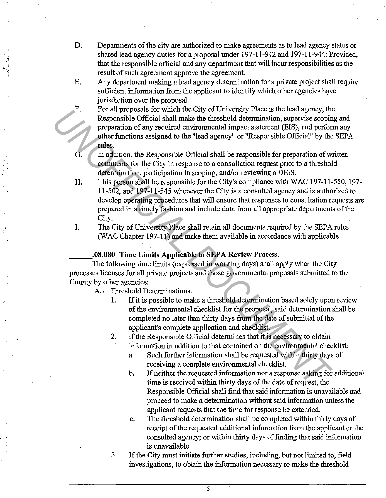- D. Departments of the city are authorized to make agreements as to lead agency status or shared lead agency duties for a proposal under 197-11-942 and 197-11-944: Provided, that the responsible official and any department that will incur responsibilities as the result of such agreement approve the agreement.
- E. Any department making a lead agency determination for a private project shall require sufficient information from the applicant to identify which other agencies have jurisdiction over the proposal
- F. For all proposals for which the City of University Place is the lead agency, the Responsible Official shall make the threshold determination, supervise scoping and preparation of any required environmental impact statement (EIS), and perform any other functions assigned to the "lead agency" or "Responsible Official" by the SEPA rules.
- G. In addition, the Responsible Official shall be responsible for preparation of written comments for the City in response to a consultation request prior to a threshold determination, participation in scoping, and/or reviewing a DEIS.
- **H.** This person shall be responsible for the City's compliance with WAC 197-11-550, 197- 11-502, and 197-11-545 whenever the City is a consulted agency and is authorized to develop operating procedures that will ensure that responses to consultation requests are prepared in a timely fashion and include data from all appropriate departments of the City. Fr. The proposals are whom the cuty of University Pakee bead agency, the space of Reportation of any required euricommental impact statement (EIS), and performed the first complement of any required euricommental impact st
	- I. The City of University Place shall retain all documents required by the SEPA rules (WAC Chapter 197-11) and make them available in accordance with applicable

### **\_\_\_ .08.080 Time Limits Applicable to SEP A Review Process.**

The following time limits (expressed in working days) shall apply when the City processes licenses for all private projects and those governmental proposals submitted to the County by other agencies:

A.' Threshold Determinations.

~

- 1. If it is possible to make a threshold determination based solely upon review of the environmental checklist for the proposal, said determination shall be completed no later than thirty days from the date of submittal of the applicant's complete application and checklist.
- 2. If the Responsible Official determines that it is necessary to obtain information in addition to that contained on the environmental checklist:
	- a. Such further information shall be requested within thirty days of receiving a complete environmental checklist.
	- b. If neither the requested information nor a response asking for additional time is received within thirty days of the date of request, the Responsible Official shall find that said information is unavailable and proceed to make a determination without said information unless the applicant requests that the time for response be extended.
	- c. The threshold determination shall be completed within thirty days of receipt of the requested additional information from the applicant or the consulted agency; or within thirty days of finding that said information is unavailable.
- 3. If the City must initiate further studies, including, but not limited to, field investigations, to obtain the information necessary to make the threshold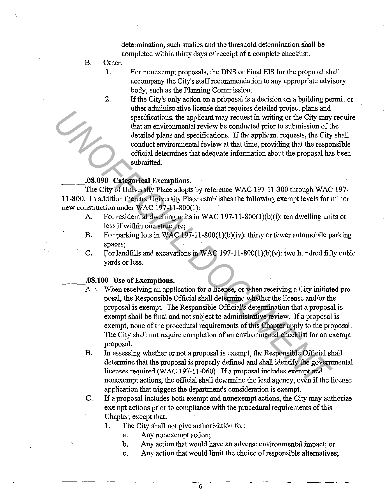determination, such studies and the threshold determination shall be completed within thirty days of receipt of a complete checklist.

- B. Other.
	- 1. For nonexempt proposals, the DNS or Final EIS for the proposal shall accompany the City's staff recommendation to any appropriate advisory body, such as the Planning Commission.
	- 2. If the City's only action on a proposal is a decision on a building permit or other administrative license that requires detailed project plans and specifications, the applicant may request in writing or the City may require that an environmental review be conducted prior to submission of the detailed plans and specifications. If the applicant requests, the City shall conduct environmental review at that time, providing that the responsible official determines that adequate information about the proposal has been submitted.

### \_\_\_ .08.090 Categorical Exemptions.

The City of University Place adopts by reference WAC 197-11-300 through WAC 197- 11-800. In addition thereto, University Place establishes the following exempt levels for minor new construction under WAC 197-11-800(1):

- A. For residential dwelling units in WAC 197-11-800(1)(b)(i): ten dwelling units or less if within one structure;
- B. For parking lots in WAC 197-11-800(1)(b)(iv): thirty or fewer automobile parking spaces;
- C. For landfills and excavations in WAC 197-11-800(1)(b)(v): two hundred fifty cubic yards or less.

#### \_\_\_ .08.100 Use of Exemptions.

- A. ·. When receiving an application for a license, or when receiving a City initiated proposal, the Responsible Official shall determine whether the license and/or the proposal is exempt. The Responsible Official's determination that a proposal is exempt shall be final and not subject to administrative review. If a proposal is exempt, none of the procedural requirements of this Chapter apply to the proposal. The City shall not require completion of an environmental checklist for an exempt proposaL ouse a unimistative to tests una requires contained priority pais and<br>specifications, the applicant may request in writing or the City may<br>that an environmental review to conducted priori of the mission of the<br>dialed plan
	- B. In assessing whether or not a proposal is exempt, the Responsible Official shall determine that the proposal is properly defined and shall identify the governmental licenses required (WAC 197-11-060). If a proposal includes exempt and nonexempt actions, the official shall determine the lead agency, even if the license application that triggers the department's consideration is exempt.
	- C. If a proposal includes both exempt and nonexempt actions, the City may authorize exempt actions prior to compliance with the procedural requirements of this Chapter, except that:
		- 1. The City shall not give authorization for:
			- a. Any nonexempt action;
			- b. Any action that would have an adverse environmental impact; or
			- c. Any action that would limit the choice of responsible alternatives;.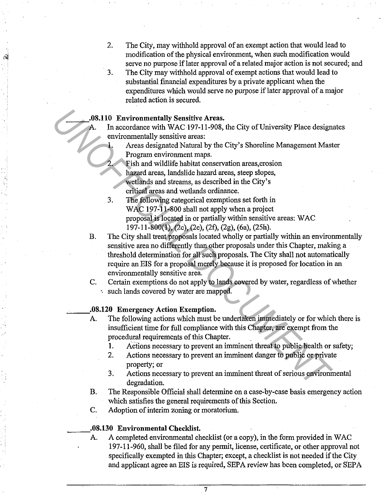- 2. The City, may withhold approval of an exempt action that would lead to modification of the physical environment, when such modification would serve no purpose iflater approval of a related major action is not secured; and
- 3. The City may withhold approval of exempt actions that would lead to substantial financial expenditures by a private applicant when the expenditures which would serve no purpose if later approval of a major related action is secured.

#### **\_\_\_ .08.110 Environmentally Sensitive Areas.**

A. In accordance with WAC· 197-11-908, the City of University Place designates environmentally sensitive areas:

> **1.** Areas designated Natural by the City's Shoreline Management Master Program environment maps.

2. Fish and wildlife habitat conservation areas,erosion hazard areas, landslide hazard areas, steep slopes, wetlands and streams, as described in the City's critical areas and wetlands ordinance.

- 3. The following categorical exemptions set forth in WAC 197-11-800 shall not apply when a project proposal is located in or partially within sensitive areas: WAC 197-11-800(1), (2c), (2e), (2f), (2g), (6a), (25h).
- B. The City shall treat proposals located wholly or partially within an environmentally sensitive area no differently than other proposals under this Chapter, making a threshold determination for all such proposals. The City shall not automatically require an EIS for a proposal merely because it is proposed for location in an environmentally sensitive area. **Example 10** Environmentally Sensitive Areas.<br> **Example 10** WAC 197-11-908, the City of University Place design environmentally sensitive areas:<br>
<br> **Example more therm** maps the City's Shoreline Management Mast<br> **Example m**

C. Certain exemptions do not apply to lands covered by water, regardless of whether ·. such lands covered by water are mapped.

### **\_\_\_ .08.120 Emergency Action Exemption.**

- A. The following actions which must be undertaken immediately or for which there is insufficient time for full compliance with this Chapter, are exempt from the procedural requirements of this Chapter. .
	- I. Adions necessary to prevent an imminent threat to public health or safety;
	- 2. Actions necessary to prevent an imminent danger to public or private property; or
	- 3. Actions necessary to prevent an imminent threat of serious environmental degradation.
- **B.** The Responsible Official shall determine on a case-by-case basis emergency action which satisfies the general requirements of this Section.
- C. Adoption of interim zoning or moratorium.

**.08.130 Environmental Checklist.**<br>A. A completed environmental checklist (or a copy), in the form provided in WAC 197-11-960, shall be filed for any permit, license, certificate, or other approval not specifically exempted in this Chapter; except, a checklist is not needed if the City and applicant agree an EIS is required, SEPA review has been completed, or SEPA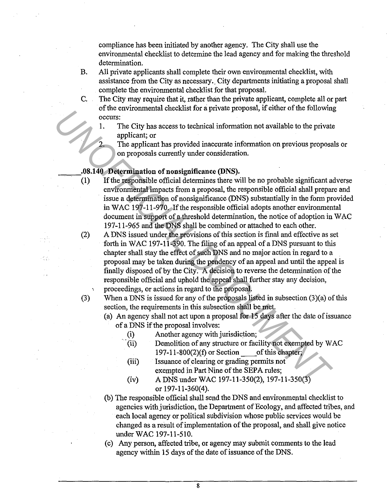compliance has been initiated by another agency. The City shall use the environmental checklist to determine the lead agency and for making the threshold determination.

- B. All private applicants shall complete their own environmental checklist, with assistance from the City as necessary. City departments initiating a proposal shall complete the environmental checklist for that proposal.
- C. The City may require that it, rather than the private applicant, complete all or part of the environmental checklist for a private proposal, if either of the following occurs:
	- 1. The City has access to technical information not available to the private applicant; or
		- The applicant has provided inaccurate information on previous proposals or on proposals currently under consideration.

# **.08.140 Determination of nonsignificance (DNS).**<br>(1) If the responsible official determines there w.

(2)

(3)

- **(1)** If the responsible official determines there will be no probable significant adverse environmental impacts from a proposal, the responsible official shall prepare and issue a determination of nonsignificance (DNS) substantially in the form provided in WAC 197-11-970. If the responsible official adopts another environmental document in support of a threshold determination, the notice of adoption in WAC 197-11-965 and the DNS shall be combined or attached to each other.
- A DNS issued under the provisions of this section is final and effective as set forth in WAC 197-11-390. The filing of an appeal of a DNS pursuant to this chapter shall stay the effect of such DNS and no major action in regard to a proposal may be taken during the pendency of an appeal and until the appeal is finally disposed of by the City. A decision to reverse the determination of the responsible official and uphold the appeal shall further stay any decision, proceedings, or actions in regard to the proposal. FIG. City has access to technical information not available to the private proposal,<br>
1. The city has access to technical information not available to the private<br>
applicant; or<br>
2. The applicant has provided inaccentrate
	- When a DNS is issued for any of the proposals listed in subsection (3)(a) of this section, the requirements in this subsection shall be met.
		- (a) An agency shall not act upon a proposal for 15 days after the date of issuance of a DNS if the proposal involves:
			- (i) Another agency with jurisdiction;
			- (ii) Demolition of any structure or facility not exempted by WAC 197-11-800(2)(f) or Section of this chapter;
			- (iii) Issuance of clearing or grading permits not exempted in Part Nine of the SEPA rules;
			- (iv) A DNS under WAC 197-11-350(2), 197-11-350(3) or 197-11-360(4).
	- (b) The responsible official shall send the DNS and environmental checklist to agencies with jurisdiction, the Department of Ecology, and affected tribes, and each local agency or political subdivision whose public services would be changed as a result of implementation of the proposal, and shall give notice under WAC 197-11-510.
	- (c) Any person, affected tribe, or agency may submit comments to the lead agency within 15 days of the date of issuance of the DNS.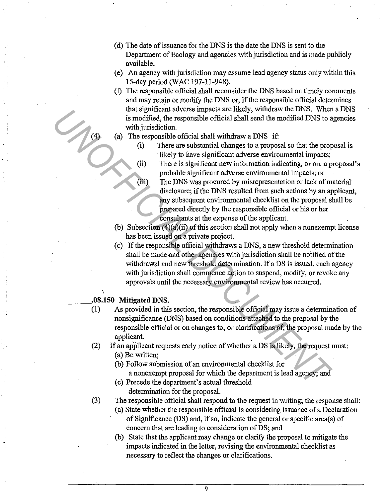- ( d) The date of issuance for the DNS is the date the DNS is sent to the Department of Ecology and agencies with jurisdiction and is made publicly available.
- ( e) An agency with jurisdiction may assume lead agency status only within this 15-day period (WAC 197-11-948).
- (f) The responsible official shall reconsider the DNS based on timely comments and may retain or modify the DNS or, if the responsible official determines that significant adverse impacts are likely, withdraw the DNS. When a DNS is modified, the responsible official shall send the modified DNS to agencies with jurisdiction.
- (a) The responsible official shall withdraw a DNS if:
	- (i) There are substantial changes to a proposal so that the proposal is likely to have significant adverse environmental impacts;
		- (ii) There is significant new information indicating, or on, a proposal's probable significant adverse environmental impacts; or
		- (iii) The DNS was procured by misrepresentation or lack of material disclosure; if the DNS resulted from such actions by an applicant, any subsequent environmental checklist on the proposal shall be prepared directly by the responsible official or his or her consultants at the expense of the applicant.
	- (b) Subsection  $(4)(a)(ii)$  of this section shall not apply when a nonexempt license has been issued on a private project.
- ( c) If the responsible official withdraws a DNS, a new threshold determination shall be made and other agencies with jurisdiction shall be notified of the withdrawal and new threshold determination. If a DS is issued, each agency with jurisdiction shall commence action to suspend, modify, or revoke any approvals until the necessary environmental review has occurred. The responsible official stall with mark with DNS where the sections, when with jurisdiction.<br>
(a) There are substantial changes to a proposal so that the proposal of the responsible official shall with<br>draw a DNS if:<br>
(b)

### **\_\_\_ .08.150 Mitigated DNS.**

- (1) As provided in this section, the responsible official may issue a determination of nonsignificance (DNS) based on conditions attached to the proposal by the responsible official or on changes to, or clarifications of, the proposal made by the applicant.
- (2) If an applicant requests early notice of whether a DS is likely, the request must: (a) Be written;
	- (b) Follow submission of an environmental checklist for a nonexempt proposal for which the department is lead agency; and
	- (c) Precede the department's actual threshold determination for the proposal.
- (3) The responsible official shall respond to the request in writing; the response shall:
	- (a) State whether the responsible official is considering issuance of a Declaration of Significance (DS) and, if so, indicate the general or specific area(s) of concern that are leading to consideration of DS; and
	- (b) State that the applicant may change or clarify the proposal to mitigate the impacts indicated in the letter, revising the environmental checklist as necessary to reflect the changes or clarifications.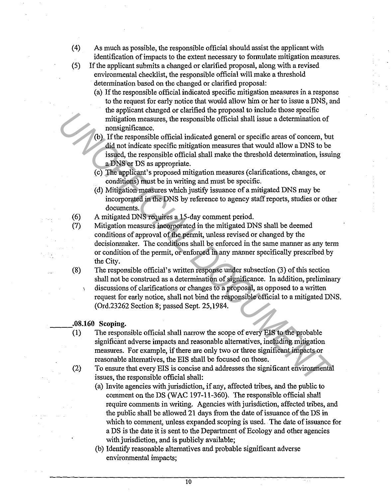- ( 4) As much as possible, the responsible official should assist the applicant with identification of impacts to the extent necessary to formulate mitigation measures.
- (5) If the applicant submits a changed or clarified proposal, along with a revised environmental checklist, the responsible official will make a threshold determination based on the changed or clarified proposal:
	- (a) If the responsible official indicated specific mitigation measures in a response to the request for early notice that would allow him or her to issue a DNS, and the applicant changed or clarified the proposal to include those specific mitigation measures, the responsible official shall issue a determination of nonsignificance.
	- (b) If the responsible official indicated general or specific areas of concern, but did not indicate specific mitigation measures that would allow a DNS to be issued, the responsible official shall make the threshold determination, issuing a DNS or DS as appropriate.
	- (c) The applicant's proposed mitigation measures (clarifications, changes, or conditions) must be in writing and must be specific.
	- ( d) Mitigation measures which justify issuance of a mitigated DNS may be incorporated in the DNS by reference to agency staff reports, studies or other documents.
- (6) A mitigated DNS requires a 15-day comment period.
- (7) Mitigation measures incorporated in the mitigated DNS shall be deemed conditions of approval of the permit, unless revised or changed by the decisionmaker. The conditions shall be enforced in the same manner as any term or condition of the permit, or enforced in any manner specifically prescribed by the City.
- (8) The responsible official's written response under subsection (3) of this section shall not be construed as a determination of significance. In addition, preliminary discussions of clarifications or changes to a proposal, as opposed to a written request for early notice, shall not bind the responsible official to a mitigated DNS. (Ord.23262 Section 8; passed Sept. 25,1984. From the supplicance.<br>
In thiggeton measures, the tresponsible official shall issue a determination of<br> **UD**). If the responsible official shall issue a determination of<br> **UD**). If the responsible official shall make the t

#### **\_\_\_ .08.160 Scoping.**

- (1) The responsible official shall narrow the scope of every EIS to the probable significant adverse impacts and reasonable alternatives, including mitigation measures. For example, if there are only two or three significant impacts or reasonable alternatives, the EIS shall be focused on those.
- (2) To ensure that every EIS is concise and addresses the significant environmental issues, the responsible official shall:
	- (a) Invite agencies with jurisdiction, if any, affected tribes, and the public to comment on the DS (WAC 197-11-360). The responsible official shall require comments in writing. Agencies with jurisdiction, affected tribes, and the public shall be allowed 21 days from the date of issuance of the DS in which to comment, unless expanded scoping is used. The date of issuance for a DS is the date it is sent to the Department of Ecology and other agencies with jurisdiction, and is publicly available;
	- (b) Identify reasonable alternatives and probable significant adverse environmental impacts;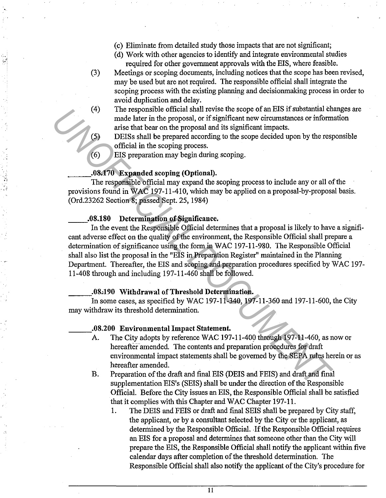- ( c) Eliminate from detailed study those impacts that are not significant;
- ( d) Work with other agencies to identify and integrate environmental studies required for other government approvals with the EIS, where feasible.
- (3) Meetings or scoping documents, including notices that the scope has been revised, may be used but are not required. The responsible official shall integrate the scoping process with the existing planning and decisionmaking process in order to avoid duplication and delay.
- ( 4) The responsible official shall revise the scope of an EIS if substantial changes are made later in the proposal, or if significant new circumstances or information arise that bear on the proposal and its significant impacts.
- (5) DEISs shall be prepared according to the scope decided upon by the responsible official in the scoping process.
- (6) EIS preparation may begin during scoping.

#### \_\_\_ .. 08.170 Expanded scoping (Optional).

 $\mathcal{F}_{\mathbf{r}}$  ,

The responsible official may expand the scoping process to include any or all of the provisions found in WAC 197-11-410, which may be applied on a proposal-by-proposal basis . (Ord.23262 Section 8; passed Sept. 25, 1984)

#### \_\_ .08.180 Determination of Significance.

In the event the Responsible Official determines that a proposal is likely to have a significant adverse effect on the quality of the environment, the Responsible Official shall prepare a determination of significance using the form in WAC 197-11-980. The Responsible Official shall also list the proposal in the "EIS in Preparation Register" maintained in the Planning Department. Thereafter, the EIS and scoping and preparation procedures specified by WAC 197- 11-408 through and including 197-11-460 shall be followed . (4) The responsible of the and it system secope of an Elix at substantial compared and it is significant impacts.<br>
(5) DESS shall be prepared according to the scope decided upon by the resp. On the compared according to th

. 08.190 Withdrawal of Threshold Determination.<br>In some cases, as specified by WAC 197-11-340, 197-11-360 and 197-11-600, the City may withdraw its threshold determination.

#### \_\_\_ .08.200 Environmental Impact Statement.

- A. The City adopts by reference WAC 197-11-400 through 197-11-460, as now or hereafter amended. The contents and preparation procedures for draft environmental impact statements shall be governed by the SEPA rules herein or as hereafter amended.
- B. Preparation of the draft and final EIS (DEIS and FEIS) and draft and final supplementation EIS's (SEIS) shall be under the direction of the Responsible Official. Before the City issues an EIS, the Responsible Official shall be satisfied that it complies with this Chapter and WAC Chapter 197-11.
	- 1. The DEIS and FEIS or draft and final SEIS shall be prepared by City staff, the applicant, or by a consultant selected by the City or the applicant, as determined by the Responsible Official. .If the Responsible Official requires an EIS for a proposal and determines that someone other than the City will prepare the EIS, the Responsible Official shall notify the applicant within five calendar days after completion of the threshold determination. The Responsible Official shall also notify the applicant of the City's procedure for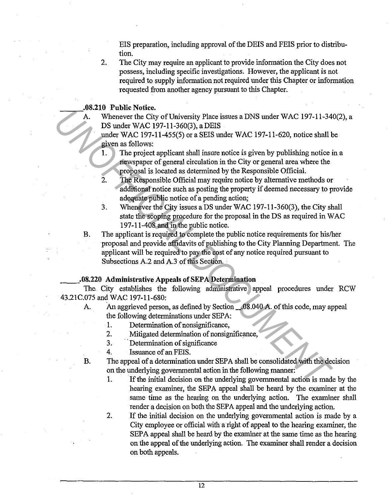EIS preparation, including approval of the DEIS and FEIS prior to distribution.

2. The City may require an applicant to provide information the City does not possess, including specific investigations. However, the applicant is not required to supply information not required under this Chapter or information requested from another agency pursuant to this Chapter.

## **.08.210 Public Notice.**<br>A. Whenever the City

Whenever the City of University Place issues a DNS under WAC 197-11-340(2), a DS under WAC 197-11-360(3), a DEIS

under WAC 197-11-455(5) or a SEIS under WAC 197-11-620, notice shall be given as follows:

- 1. The project applicant shall insure notice is given by publishing notice in a newspaper of general circulation in the City or general area where the proposal is located as determined by the Responsible Official.
- 2. The Responsible Official may require notice by alternative methods or additional notice such as posting the property if deemed necessary to provide adequate public notice of a pending action;
- 3. Whenever the City issues a DS under WAC 197-11-360(3), the City shall state the scoping procedure for the proposal in the DS as required in WAC 197-11-408 and in the public notice.
- B. The applicant is required to complete the public notice requirements for his/her proposal and provide affidavits of publishing to the City Planning Department. The applicant will be required to pay the cost of any notice required pursuant to Subsections A.2 and A.3 of this Section. **A.** Whenever the City of University Place issues a DNS under WAC 197-11-34<br> **DESTURE TO A COVE 11-360(3)** a DHSIS<br>
under WAC 197-11-450(5) or a SEIS under WAC 197-11-620, notice shall<br>
given as follows:<br>
1. The project ap

#### \_\_ .08.220 Administrative Appeals of SEP A Determination

The. City establishes the following administrative appeal procedures under RCW 43.21C.075 and WAC 197-11-680:

- A. An aggrieved person, as defined by Section \_.08.040 A. of this code, may appeal the following determinations under SEPA:
	- 1. Determination of nonsignificance,
	- 2. Mitigated determination of nonsignificance,
	- 3. Determination of significance
	- 4. Issuance of an FEIS.
- B. The appeal of a determination under SEPA shall be consolidated with the decision on the underlying governmental action in the following manner:
	- 1. If the initial decision on the underlying governmental action is made by the hearing examiner, the SEPA appeal shall be heard by the examiner at the same time as the hearing on the underlying action. The examiner shall render a decision on both the SEPA appeal and the underlying action.
	- 2. If the initial decision on the underlying governmental action is made by a City employee or official with a right of appeal to the hearing examiner, the SEPA appeal shall be heard by the examiner at the same time as the hearing on the appeal of the underlying action. The examiner shall render a decision on both appeals.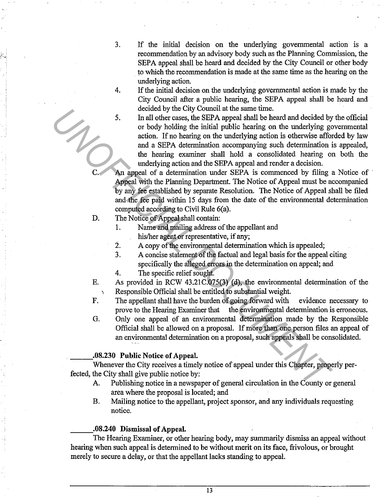3. If the initial decision on the underlying governmental action is a recommendation by an advisory body such as the Planning Commission, the SEPA appeal shall be heard and decided by the City Council or other body to which the recommendation is made at the same time as the hearing on the underlying action.

4. If the initial decision on the underlying governmental action is made by the City Council after a public hearing, the SEPA appeal shall be heard and decided by the City Council at the same time.

5. In all other cases, the SEPA appeal shall be heard and decided by the official or body holding the initial public hearing on the underlying governmental action. If no hearing on the underlying action is otherwise afforded by law and a SEPA determination accompanying such determination is appealed, the hearing examiner shall hold a consolidated hearing on both the underlying action and the SEPA appeal and render a decision. Concided by the Cay Columin at the same time.<br>
In all other cases, the SEPA appeal shall be heard and decided by<br>
or body holding the initial public hearing on the underlying go<br>
and a SEPA determination accompanying such

An appeal of a determination under SEPA is commenced by filing a Notice of Appeal with the Planning Department. The Notice of Appeal must be accompanied by any fee established by separate Resolution. The Notice of Appeal shall be filed and the fee paid within 15 days from the date of the environmental determination computed according to Civil Rule 6(a).

D. The Notice of Appeal shall contain:

1. Name and mailing address of the appellant and

his/her agent or representative, if any;

2. A copy of the environmental determination which is appealed;

3. A concise statement of the factual and legal basis for the appeal citing specifically the alleged errors in the determination on appeal; and

4. The specific relief sought.

E. As provided in RCW 43.21C.075(3) (d), the environmental determination of the ·, Responsible Official shall be entitled to substantial weight.

- F. The appellant shall have the burden of going forward with evidence necessary to prove to the Hearing Examiner that the environmental determination is erroneous.
- G. Only one appeal of an environmental determination made by the Responsible Official shall be allowed on a proposal. If more than one person files an appeal of an environmental determination on a proposal, such appeals shall be consolidated.

#### **\_\_\_ .. 08.230 Public Notice of Appeal.**

Whenever the City receives a timely notice of appeal under this Chapter, properly perfected, the City shall give public notice by:

- A. Publishing notice in a newspaper of general circulation in the County or general area where the proposal is located; and
- B. Mailing notice to the appellant, project sponsor, and any individuals requesting notice.

#### **\_\_\_ .08.240 Dismissal of Appeal.**

The Hearing Examiner, or other hearing body, may summarily dismiss an appeal without hearing when such appeal is determined to be without merit on its face, frivolous, or brought merely to secure a delay, or that the appellant lacks standing to appeal.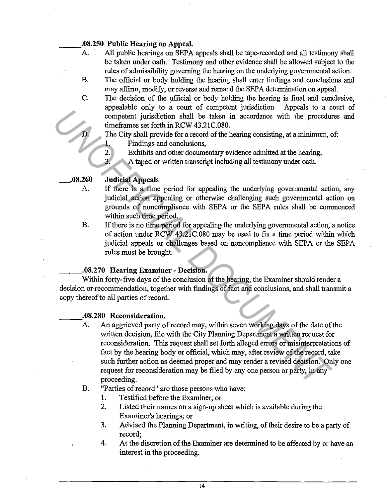## **08.250 Public Hearing on Appeal.**<br>**A.** All public hearings on SEPA

All public hearings on SEPA appeals shall be tape-recorded and all testimony shall be taken under oath. Testimony and other evidence shall be allowed subject to the rules of admissibility governing the hearing on the underlying governmental action.

- B. The official or body holding the hearing shall enter findings and conclusions and may affirm, modify, or reverse and remand the SEPA determination on appeal.
- C. The decision of the official or body holding the hearing is final and conclusive, appealable only to a court of competent jurisdiction. Appeals to a court of competent jurisdiction shall be taken in accordance with the procedures and timeframes set forth in RCW 43.21C.080.
	- The City shall provide for a record of the hearing consisting, at a minimum, of: **1.** Findings and conclusions,
	- 2. Exhibits and other documentary evidence admitted at the hearing,
	- 3. A taped or written transcript including all testimony under oath.

#### **\_.08.260 Judicial Appeals**

D.

- A. If there is a time period for appealing the underlying governmental action, any judicial action appealing or otherwise challenging such governmental action on grounds of noncompliance with SEPA or the SEPA rules shall be commenced within such time period.
- B. If there is no time period for appealing the underlying governmental action, a notice of action under RCW 43.21C.080 may be used to fix a time period within which judicial appeals or challenges based on noncompliance with SEPA or the SEPA rules must be brought.

#### **\_\_\_ .. 08.270 Hearing Examiner - Decision.**

Within forty-five days of the conclusion of the hearing, the Examiner should render a decision or recommendation, together with findings of fact and conclusions, and shall transmit a copy thereof to all parties of record.

**.08.280 Reconsideration.**<br>A. An aggrieved party of record may, within seven working days of the date of the written decision, file with the City Planning Department a written request for reconsideration. This request shall set forth alleged errors or misinterpretations of fact by the hearing body or official, which may, after review of the record, take such further action as deemed proper and may render a revised decision. Only one request for reconsideration may be filed by any one person or party, in any proceeding. Languarie that is the court of the computer interded to the interded of the procedure with the procedure interded in ReCW4321C.080.<br>
The City shall provide for a record of the hearing consisting, at a minimum,<br>
The City

### B. "Parties of record" are those persons who have:

- 1. Testified before the Examiner; or
- 2. Listed their names on a sign-up sheet which is available during the Examiner's hearings; or
- 3. Advised the Planning Department, in writing, of their desire to be a party of record;
- 4. At the discretion of the Examiner are determined to be affected by or have an interest in the proceeding.